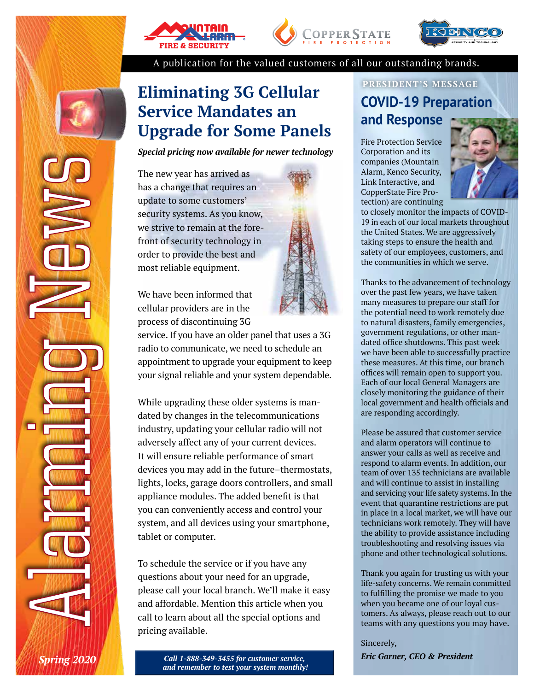





A publication for the valued customers of all our outstanding brands.

## **Eliminating 3G Cellular Service Mandates an Upgrade for Some Panels**

*Special pricing now available for newer technology* 

The new year has arrived as has a change that requires an update to some customers' security systems. As you know, we strive to remain at the forefront of security technology in order to provide the best and most reliable equipment.

We have been informed that cellular providers are in the process of discontinuing 3G

service. If you have an older panel that uses a 3G radio to communicate, we need to schedule an appointment to upgrade your equipment to keep your signal reliable and your system dependable.

While upgrading these older systems is mandated by changes in the telecommunications industry, updating your cellular radio will not adversely affect any of your current devices. It will ensure reliable performance of smart devices you may add in the future–thermostats, lights, locks, garage doors controllers, and small appliance modules. The added benefit is that you can conveniently access and control your system, and all devices using your smartphone, tablet or computer.

To schedule the service or if you have any questions about your need for an upgrade, please call your local branch. We'll make it easy and affordable. Mention this article when you call to learn about all the special options and pricing available.

> *Call 1-888-349-3455 for customer service, and remember to test your system monthly!*

### **PRESIDENT'S MESSAGE COVID-19 Preparation and Response**

Fire Protection Service Corporation and its companies (Mountain Alarm, Kenco Security, Link Interactive, and CopperState Fire Protection) are continuing



to closely monitor the impacts of COVID-19 in each of our local markets throughout the United States. We are aggressively taking steps to ensure the health and safety of our employees, customers, and the communities in which we serve.

Thanks to the advancement of technology over the past few years, we have taken many measures to prepare our staff for the potential need to work remotely due to natural disasters, family emergencies, government regulations, or other mandated office shutdowns. This past week we have been able to successfully practice these measures. At this time, our branch offices will remain open to support you. Each of our local General Managers are closely monitoring the guidance of their local government and health officials and are responding accordingly.

Please be assured that customer service and alarm operators will continue to answer your calls as well as receive and respond to alarm events. In addition, our team of over 135 technicians are available and will continue to assist in installing and servicing your life safety systems. In the event that quarantine restrictions are put in place in a local market, we will have our technicians work remotely. They will have the ability to provide assistance including troubleshooting and resolving issues via phone and other technological solutions.

Thank you again for trusting us with your life-safety concerns. We remain committed to fulfilling the promise we made to you when you became one of our loyal customers. As always, please reach out to our teams with any questions you may have.

Sincerely, *Eric Garner, CEO & President*